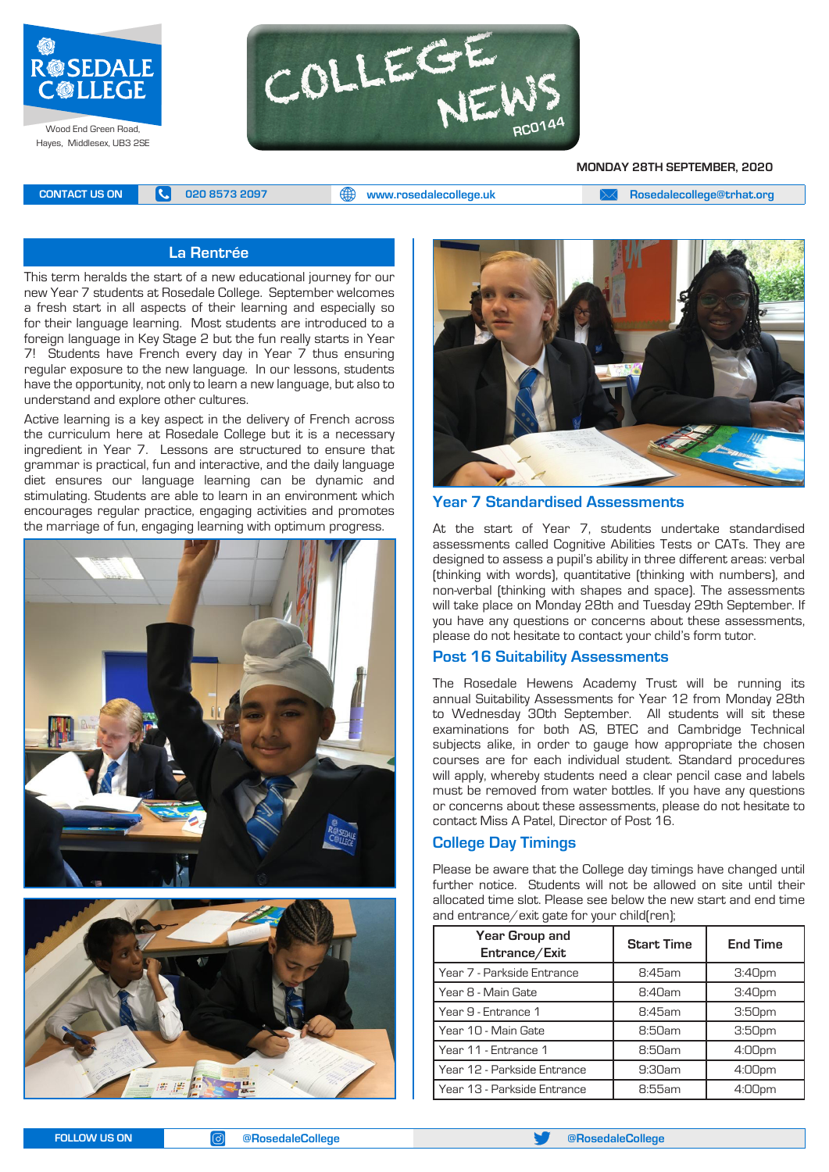

Hayes, Middlesex, UB3 2SE



**MONDAY 28TH SEPTEMBER, 2020**

**CONTACT US ON <b>C** 020 8573 2097 **C** 020 8573 2097 **CONTACT US ON EXAM Rosedalecollege@trhat.org** 

## **La Rentrée**

This term heralds the start of a new educational journey for our new Year 7 students at Rosedale College. September welcomes a fresh start in all aspects of their learning and especially so for their language learning. Most students are introduced to a foreign language in Key Stage 2 but the fun really starts in Year 7! Students have French every day in Year 7 thus ensuring regular exposure to the new language. In our lessons, students have the opportunity, not only to learn a new language, but also to understand and explore other cultures.

Active learning is a key aspect in the delivery of French across the curriculum here at Rosedale College but it is a necessary ingredient in Year 7. Lessons are structured to ensure that grammar is practical, fun and interactive, and the daily language diet ensures our language learning can be dynamic and stimulating. Students are able to learn in an environment which encourages regular practice, engaging activities and promotes the marriage of fun, engaging learning with optimum progress.







#### **Year 7 Standardised Assessments**

At the start of Year 7, students undertake standardised assessments called Cognitive Abilities Tests or CATs. They are designed to assess a pupil's ability in three different areas: verbal (thinking with words), quantitative (thinking with numbers), and non-verbal (thinking with shapes and space). The assessments will take place on Monday 28th and Tuesday 29th September. If you have any questions or concerns about these assessments, please do not hesitate to contact your child's form tutor.

#### **Post 16 Suitability Assessments**

The Rosedale Hewens Academy Trust will be running its annual Suitability Assessments for Year 12 from Monday 28th to Wednesday 30th September. All students will sit these examinations for both AS, BTEC and Cambridge Technical subjects alike, in order to gauge how appropriate the chosen courses are for each individual student. Standard procedures will apply, whereby students need a clear pencil case and labels must be removed from water bottles. If you have any questions or concerns about these assessments, please do not hesitate to contact Miss A Patel, Director of Post 16.

#### **College Day Timings**

Please be aware that the College day timings have changed until further notice. Students will not be allowed on site until their allocated time slot. Please see below the new start and end time and entrance/exit gate for your child(ren);

| Year Group and<br>Entrance/Exit | <b>Start Time</b> | <b>End Time</b>    |
|---------------------------------|-------------------|--------------------|
| Year 7 - Parkside Entrance      | 8:45am            | 3:40 <sub>pm</sub> |
| Year 8 - Main Gate              | 8:40am            | 3:40 <sub>pm</sub> |
| Year 9 - Entrance 1             | 8:45am            | 3:50 <sub>pm</sub> |
| Year 10 - Main Gate             | 8:50am            | 3:50 <sub>pm</sub> |
| Year 11 - Entrance 1            | 8:50am            | 4:00 <sub>pm</sub> |
| Year 12 - Parkside Entrance     | 9:30am            | 4:00 <sub>pm</sub> |
| Year 13 - Parkside Entrance     | 8:55am            | 4:00pm             |